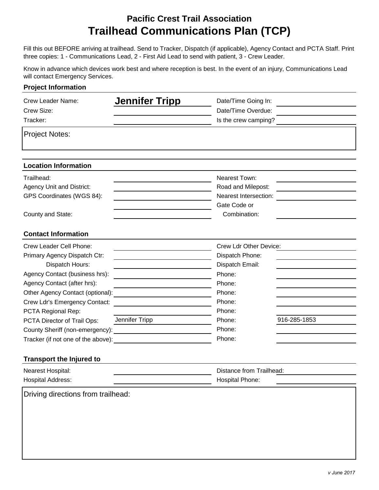## **Pacific Crest Trail Association Trailhead Communications Plan (TCP)**

Fill this out BEFORE arriving at trailhead. Send to Tracker, Dispatch (if applicable), Agency Contact and PCTA Staff. Print three copies: 1 - Communications Lead, 2 - First Aid Lead to send with patient, 3 - Crew Leader.

Know in advance which devices work best and where reception is best. In the event of an injury, Communications Lead will contact Emergency Services.

| <b>Project Information</b>                                                                                                                                                                                                                                                                                                                     |                                                                                                                                                                                                                       |                                                                                                                                              |              |
|------------------------------------------------------------------------------------------------------------------------------------------------------------------------------------------------------------------------------------------------------------------------------------------------------------------------------------------------|-----------------------------------------------------------------------------------------------------------------------------------------------------------------------------------------------------------------------|----------------------------------------------------------------------------------------------------------------------------------------------|--------------|
| Crew Leader Name:<br>Crew Size:<br>Tracker:                                                                                                                                                                                                                                                                                                    | <b>Jennifer Tripp</b>                                                                                                                                                                                                 | Date/Time Going In:<br>Date/Time Overdue:<br>Is the crew camping?                                                                            |              |
| <b>Project Notes:</b>                                                                                                                                                                                                                                                                                                                          |                                                                                                                                                                                                                       |                                                                                                                                              |              |
| <b>Location Information</b>                                                                                                                                                                                                                                                                                                                    |                                                                                                                                                                                                                       |                                                                                                                                              |              |
| Trailhead:<br><b>Agency Unit and District:</b><br>GPS Coordinates (WGS 84):                                                                                                                                                                                                                                                                    |                                                                                                                                                                                                                       | Nearest Town:<br>Road and Milepost:<br>Nearest Intersection:<br>Gate Code or                                                                 |              |
| County and State:<br><b>Contact Information</b>                                                                                                                                                                                                                                                                                                |                                                                                                                                                                                                                       | Combination:                                                                                                                                 |              |
| Crew Leader Cell Phone:<br>Primary Agency Dispatch Ctr:<br>Dispatch Hours:<br>Agency Contact (business hrs):<br>Agency Contact (after hrs):<br>Other Agency Contact (optional):<br>Crew Ldr's Emergency Contact:<br>PCTA Regional Rep:<br>PCTA Director of Trail Ops:<br>Tracker (if not one of the above):<br><b>Transport the Injured to</b> | the control of the control of the control of the control of the control of<br>Jennifer Tripp<br><u> 1989 - John Stein, mars and de Branch and de Branch and de Branch and de Branch and de Branch and de Branch a</u> | Crew Ldr Other Device:<br>Dispatch Phone:<br>Dispatch Email:<br>Phone:<br>Phone:<br>Phone:<br>Phone:<br>Phone:<br>Phone:<br>Phone:<br>Phone: | 916-285-1853 |
| Nearest Hospital:<br><b>Hospital Address:</b>                                                                                                                                                                                                                                                                                                  |                                                                                                                                                                                                                       | Distance from Trailhead:<br>Hospital Phone:                                                                                                  |              |
| Driving directions from trailhead:                                                                                                                                                                                                                                                                                                             |                                                                                                                                                                                                                       |                                                                                                                                              |              |